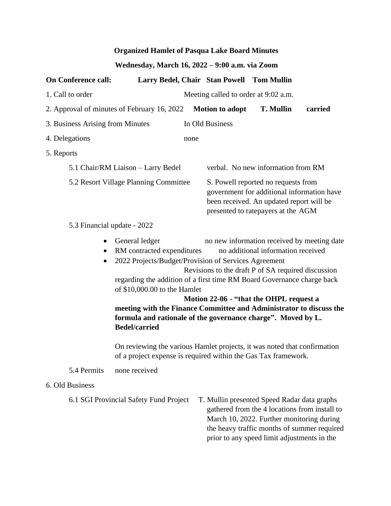## **Organized Hamlet of Pasqua Lake Board Minutes**

## **Wednesday, March 16, 2022 – 9:00 a.m. via Zoom**

| <b>On Conference call:</b>            |                                                                                                                                                                                                                                                                                                                                                                                                                                                                                                                             | Larry Bedel, Chair Stan Powell Tom Mullin                                                     |                                                                                                                                                                     |         |  |
|---------------------------------------|-----------------------------------------------------------------------------------------------------------------------------------------------------------------------------------------------------------------------------------------------------------------------------------------------------------------------------------------------------------------------------------------------------------------------------------------------------------------------------------------------------------------------------|-----------------------------------------------------------------------------------------------|---------------------------------------------------------------------------------------------------------------------------------------------------------------------|---------|--|
| 1. Call to order                      |                                                                                                                                                                                                                                                                                                                                                                                                                                                                                                                             | Meeting called to order at 9:02 a.m.                                                          |                                                                                                                                                                     |         |  |
|                                       | 2. Approval of minutes of February 16, 2022                                                                                                                                                                                                                                                                                                                                                                                                                                                                                 | <b>Motion to adopt</b>                                                                        | <b>T. Mullin</b>                                                                                                                                                    | carried |  |
| 3. Business Arising from Minutes      |                                                                                                                                                                                                                                                                                                                                                                                                                                                                                                                             | In Old Business                                                                               |                                                                                                                                                                     |         |  |
| 4. Delegations                        |                                                                                                                                                                                                                                                                                                                                                                                                                                                                                                                             | none                                                                                          |                                                                                                                                                                     |         |  |
| 5. Reports                            |                                                                                                                                                                                                                                                                                                                                                                                                                                                                                                                             |                                                                                               |                                                                                                                                                                     |         |  |
| 5.1 Chair/RM Liaison - Larry Bedel    |                                                                                                                                                                                                                                                                                                                                                                                                                                                                                                                             |                                                                                               | verbal. No new information from RM                                                                                                                                  |         |  |
| 5.2 Resort Village Planning Committee |                                                                                                                                                                                                                                                                                                                                                                                                                                                                                                                             |                                                                                               | S. Powell reported no requests from<br>government for additional information have<br>been received. An updated report will be<br>presented to ratepayers at the AGM |         |  |
| 5.3 Financial update - 2022           |                                                                                                                                                                                                                                                                                                                                                                                                                                                                                                                             |                                                                                               |                                                                                                                                                                     |         |  |
| $\bullet$<br>$\bullet$<br>$\bullet$   | General ledger<br>RM contracted expenditures<br>2022 Projects/Budget/Provision of Services Agreement<br>regarding the addition of a first time RM Board Governance charge back<br>of \$10,000.00 to the Hamlet<br>meeting with the Finance Committee and Administrator to discuss the<br>formula and rationale of the governance charge". Moved by L.<br><b>Bedel/carried</b><br>On reviewing the various Hamlet projects, it was noted that confirmation<br>of a project expense is required within the Gas Tax framework. | Revisions to the draft P of SA required discussion<br>Motion 22-06 - "that the OHPL request a | no new information received by meeting date<br>no additional information received                                                                                   |         |  |
| 5.4 Permits                           | none received                                                                                                                                                                                                                                                                                                                                                                                                                                                                                                               |                                                                                               |                                                                                                                                                                     |         |  |
| 6. Old Business                       |                                                                                                                                                                                                                                                                                                                                                                                                                                                                                                                             |                                                                                               |                                                                                                                                                                     |         |  |
|                                       | 6.1 SGI Provincial Safety Fund Project                                                                                                                                                                                                                                                                                                                                                                                                                                                                                      | T. Mullin presented Speed Radar data graphs                                                   |                                                                                                                                                                     |         |  |

gathered from the 4 locations from install to March 10, 2022. Further monitoring during the heavy traffic months of summer required prior to any speed limit adjustments in the